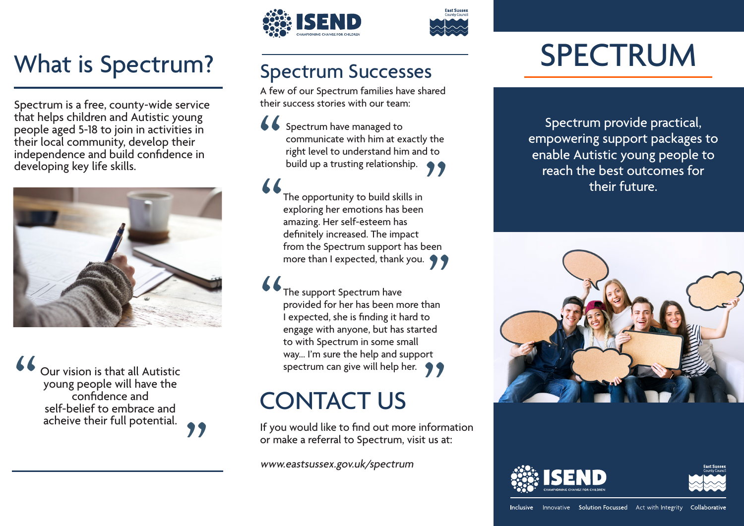## What is Spectrum? Spectrum Successes

Spectrum is a free, county-wide service that helps children and Autistic young people aged 5-18 to join in activities in their local community, develop their independence and build confidence in developing key life skills.



" Our vision is that all Autistic young people will have the confidence and self-belief to embrace and acheive their full potential.

"





A few of our Spectrum families have shared their success stories with our team:

communicate with him at exactly the<br>right level to understand him and to<br>build up a trusting relationship. Spectrum have managed to communicate with him at exactly the right level to understand him and to

" definitely increased. The impact<br>from the Spectrum support has been<br>more than I expected, thank you. The opportunity to build skills in exploring her emotions has been amazing. Her self-esteem has definitely increased. The impact from the Spectrum support has been

" , The support Spectrum have provided for her has been more than I expected, she is finding it hard to engage with anyone, but has started to with Spectrum in some small way... I'm sure the help and support spectrum can give will help her.

### CONTACT US

If you would like to find out more information or make a referral to Spectrum, visit us at:

www.eastsussex.gov.uk/spectrum

# **SPECTRUM**

Spectrum have managed to<br>
communicate with him at exactly the<br>
right level to understand him and to<br>
build up a trusting relationship. empowering support packages to enable Autistic young people to reach the best outcomes for their future.